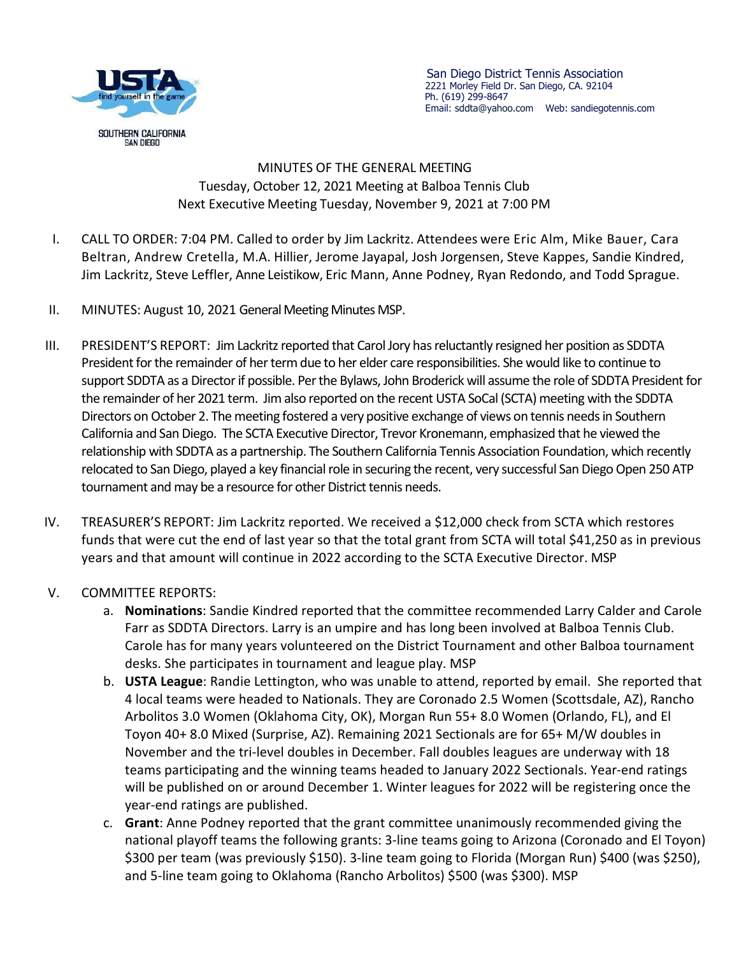

 San Diego District Tennis Association 2221 Morley Field Dr. San Diego, CA. 92104 Ph. (619) 299-8647 Email: sddta@yahoo.com Web: sandiegotennis.com

## MINUTES OF THE GENERAL MEETING Tuesday, October 12, 2021 Meeting at Balboa Tennis Club Next Executive Meeting Tuesday, November 9, 2021 at 7:00 PM

- I. CALL TO ORDER: 7:04 PM. Called to order by Jim Lackritz. Attendees were Eric Alm, Mike Bauer, Cara Beltran, Andrew Cretella, M.A. Hillier, Jerome Jayapal, Josh Jorgensen, Steve Kappes, Sandie Kindred, Jim Lackritz, Steve Leffler, Anne Leistikow, Eric Mann, Anne Podney, Ryan Redondo, and Todd Sprague.
- II. MINUTES: August 10, 2021 General Meeting Minutes MSP.
- III. PRESIDENT'S REPORT: Jim Lackritz reported that Carol Jory has reluctantly resigned her position as SDDTA President for the remainder of her term due to her elder care responsibilities. She would like to continue to support SDDTA as a Director if possible. Per the Bylaws, John Broderick will assume the role of SDDTA President for the remainder of her 2021 term. Jim also reported on the recent USTA SoCal (SCTA) meeting with the SDDTA Directors on October 2. The meeting fostered a very positive exchange of views on tennis needs in Southern California and San Diego. The SCTA Executive Director, Trevor Kronemann, emphasized that he viewed the relationship with SDDTA as a partnership. The Southern California Tennis Association Foundation, which recently relocated to San Diego, played a key financial role in securing the recent, very successful San Diego Open 250 ATP tournament and may be a resource for other District tennis needs.
- IV. TREASURER'S REPORT: Jim Lackritz reported. We received a \$12,000 check from SCTA which restores funds that were cut the end of last year so that the total grant from SCTA will total \$41,250 as in previous years and that amount will continue in 2022 according to the SCTA Executive Director. MSP

## V. COMMITTEE REPORTS:

- a. **Nominations**: Sandie Kindred reported that the committee recommended Larry Calder and Carole Farr as SDDTA Directors. Larry is an umpire and has long been involved at Balboa Tennis Club. Carole has for many years volunteered on the District Tournament and other Balboa tournament desks. She participates in tournament and league play. MSP
- b. **USTA League**: Randie Lettington, who was unable to attend, reported by email. She reported that 4 local teams were headed to Nationals. They are Coronado 2.5 Women (Scottsdale, AZ), Rancho Arbolitos 3.0 Women (Oklahoma City, OK), Morgan Run 55+ 8.0 Women (Orlando, FL), and El Toyon 40+ 8.0 Mixed (Surprise, AZ). Remaining 2021 Sectionals are for 65+ M/W doubles in November and the tri-level doubles in December. Fall doubles leagues are underway with 18 teams participating and the winning teams headed to January 2022 Sectionals. Year-end ratings will be published on or around December 1. Winter leagues for 2022 will be registering once the year-end ratings are published.
- c. **Grant**: Anne Podney reported that the grant committee unanimously recommended giving the national playoff teams the following grants: 3-line teams going to Arizona (Coronado and El Toyon) \$300 per team (was previously \$150). 3-line team going to Florida (Morgan Run) \$400 (was \$250), and 5-line team going to Oklahoma (Rancho Arbolitos) \$500 (was \$300). MSP